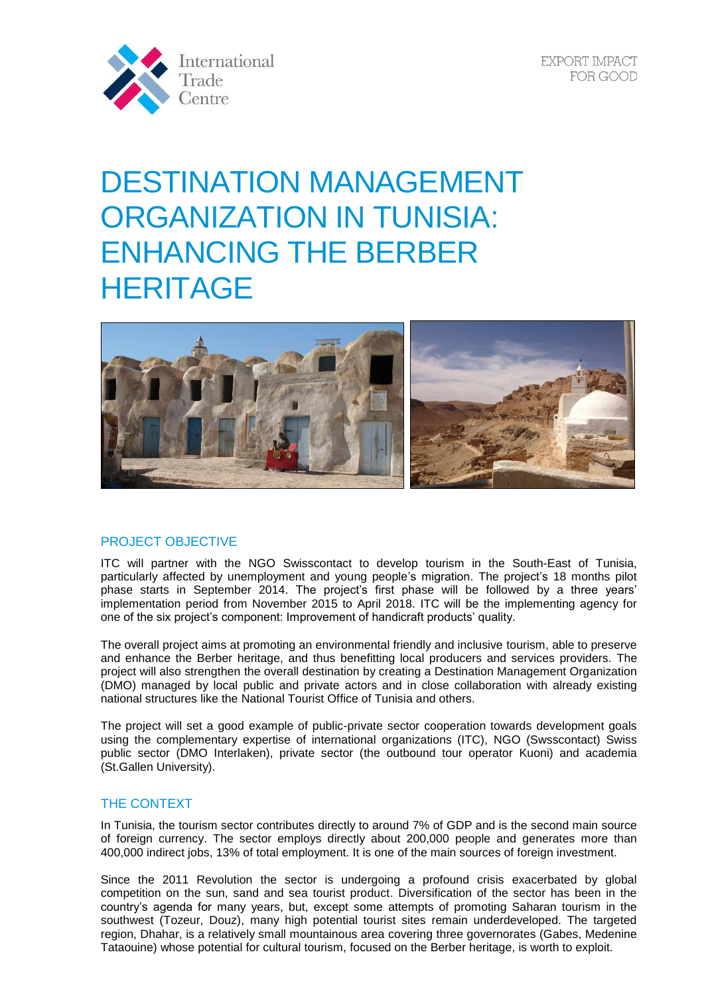

EXPORT IMPACT FOR GOOD

# DESTINATION MANAGEMENT ORGANIZATION IN TUNISIA: ENHANCING THE BERBER **HERITAGE**



## PROJECT OBJECTIVE

ITC will partner with the NGO Swisscontact to develop tourism in the South-East of Tunisia, particularly affected by unemployment and young people's migration. The project's 18 months pilot phase starts in September 2014. The project's first phase will be followed by a three years' implementation period from November 2015 to April 2018. ITC will be the implementing agency for one of the six project's component: Improvement of handicraft products' quality.

The overall project aims at promoting an environmental friendly and inclusive tourism, able to preserve and enhance the Berber heritage, and thus benefitting local producers and services providers. The project will also strengthen the overall destination by creating a Destination Management Organization (DMO) managed by local public and private actors and in close collaboration with already existing national structures like the National Tourist Office of Tunisia and others.

The project will set a good example of public-private sector cooperation towards development goals using the complementary expertise of international organizations (ITC), NGO (Swsscontact) Swiss public sector (DMO Interlaken), private sector (the outbound tour operator Kuoni) and academia (St.Gallen University).

#### THE CONTEXT

In Tunisia, the tourism sector contributes directly to around 7% of GDP and is the second main source of foreign currency. The sector employs directly about 200,000 people and generates more than 400,000 indirect jobs, 13% of total employment. It is one of the main sources of foreign investment.

Since the 2011 Revolution the sector is undergoing a profound crisis exacerbated by global competition on the sun, sand and sea tourist product. Diversification of the sector has been in the country's agenda for many years, but, except some attempts of promoting Saharan tourism in the southwest (Tozeur, Douz), many high potential tourist sites remain underdeveloped. The targeted region, Dhahar, is a relatively small mountainous area covering three governorates (Gabes, Medenine Tataouine) whose potential for cultural tourism, focused on the Berber heritage, is worth to exploit.